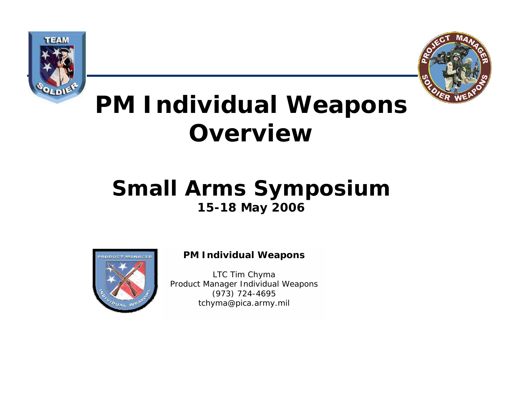



# **PM Individual Weapons Overview**

### **Small Arms Symposium 15-18 May 2006**



#### **PM Individual Weapons**

LTC Tim Chyma Product Manager Individual Weapons (973) 724-4695 tchyma@pica.army.mil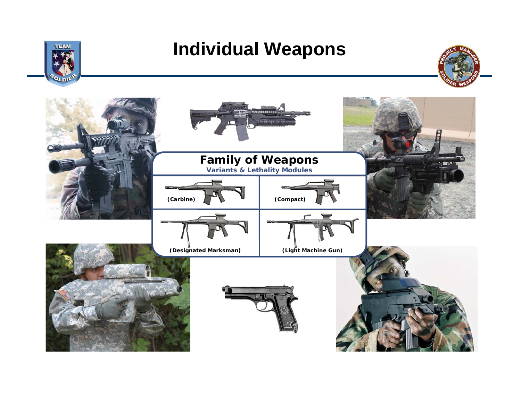

### **Individual Weapons**



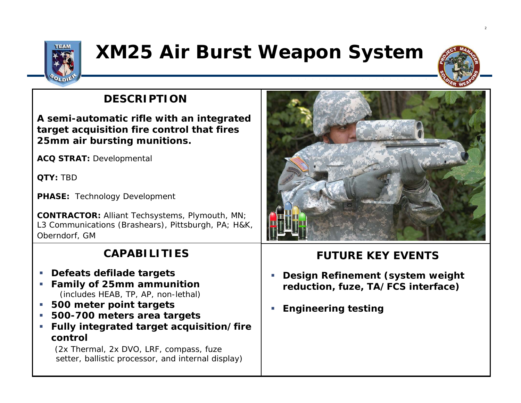

## **XM25 Air Burst Weapon System**

### **DESCRIPTION**

**A semi-automatic rifle with an integrated target acquisition fire control that fires 25mm air bursting munitions.**

**ACQ STRAT:** Developmental

**QTY:** TBD

**PHASE:** Technology Development

**CONTRACTOR:** Alliant Techsystems, Plymouth, MN; L3 Communications (Brashears), Pittsburgh, PA; H&K, Oberndorf, GM

### **CAPABILITIES**

- $\mathcal{L}_{\mathcal{A}}$ **Defeats defilade targets**
- $\overline{\phantom{a}}$  **Family of 25mm ammunition** (includes HEAB, TP, AP, non-lethal)
- г **500 meter point targets**
- **500-700 meters area targets**
- **Fully integrated target acquisition/fire control**

(2x Thermal, 2x DVO, LRF, compass, fuze setter, ballistic processor, and internal display)



2

- п **Design Refinement (system weight reduction, fuze, TA/FCS interface)**
- п **Engineering testing**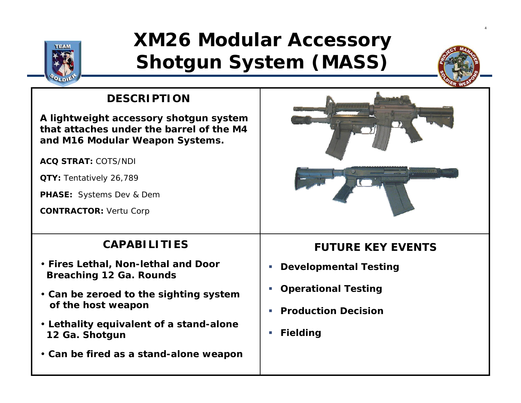

## **XM26 Modular Accessory Shotgun System (MASS)**



4

### **DESCRIPTION**

**A lightweight accessory shotgun system that attaches under the barrel of the M4and M16 Modular Weapon Systems.**

**ACQ STRAT:** COTS/NDI

**QTY:** Tentatively 26,789

**PHASE:** Systems Dev & Dem

**CONTRACTOR:** Vertu Corp



### **CAPABILITIES**

- **Fires Lethal, Non-lethal and Door Breaching 12 Ga. Rounds**
- **Can be zeroed to the sighting system of the host weapon**
- **Lethality equivalent of a stand-alone 12 Ga. Shotgun**
- **Can be fired as a stand-alone weapon**

- $\overline{\phantom{a}}$ **Developmental Testing**
- $\mathbb{R}^{n\times n}$ **Operational Testing**
- Ш **Production Decision**
- **Fielding**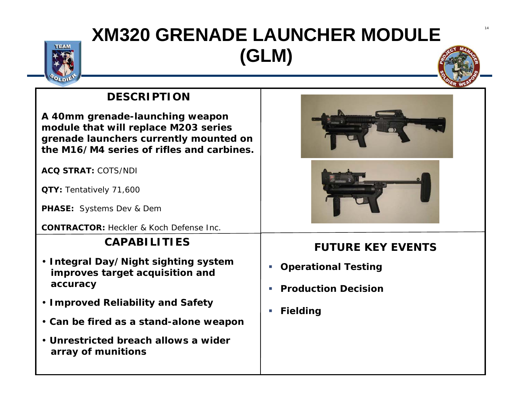## **XM320 GRENADE LAUNCHER MODULE (GLM)**





### **DESCRIPTION**

**A 40mm grenade-launching weapon module that will replace M203 series grenade launchers currently mounted on the M16/M4 series of rifles and carbines.**

**ACQ STRAT:** COTS/NDI

**QTY:** Tentatively 71,600

**PHASE:** Systems Dev & Dem

**CONTRACTOR:** Heckler & Koch Defense Inc.

#### **CAPABILITIES**

- **Integral Day/Night sighting system improves target acquisition and accuracy**
- **Improved Reliability and Safety**
- **Can be fired as a stand-alone weapon**
- **Unrestricted breach allows a wider array of munitions**



- **Operational Testing**
- $\overline{\phantom{a}}$ **Production Decision**
- $\overline{\phantom{a}}$ **Fielding**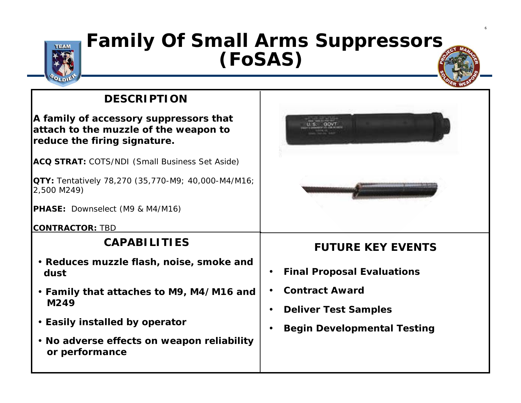

### **Family Of Small Arms Suppressors (FoSAS)**

### **DESCRIPTION**

**A family of accessory suppressors that attach to the muzzle of the weapon to reduce the firing signature.** 

**ACQ STRAT:** COTS/NDI (Small Business Set Aside)

**QTY:** Tentatively 78,270 (35,770-M9; 40,000-M4/M16; 2,500 M249)

**PHASE:** Downselect (M9 & M4/M16)

**CONTRACTOR:** TBD

### **CAPABILITIES**

- **Reduces muzzle flash, noise, smoke and dust**
- **Family that attaches to M9, M4/M16 and M249**
- **Easily installed by operator**
- **No adverse effects on weapon reliability or performance**



6

- $\bullet$ **Final Proposal Evaluations**
- •**Contract Award**
- •**Deliver Test Samples**
- •**Begin Developmental Testing**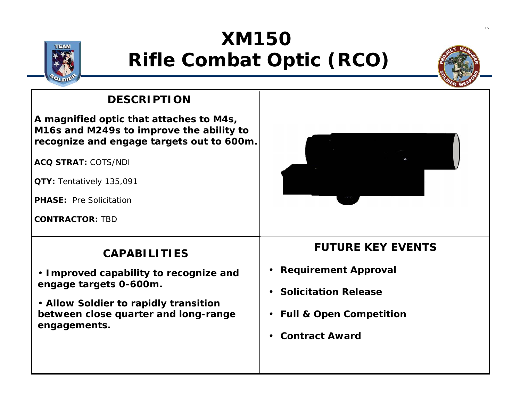